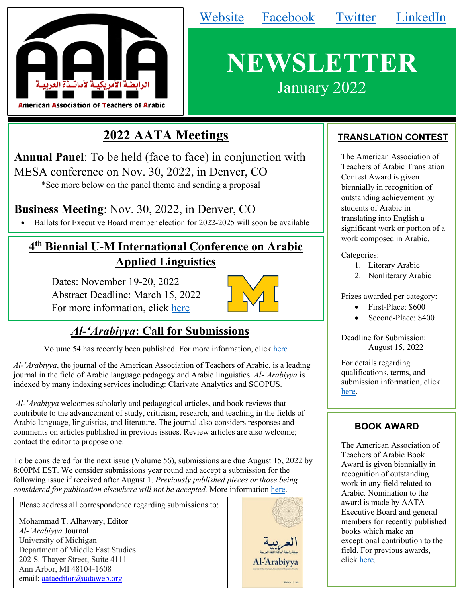

# **NEWSLETTER** January 2022

[Website](https://www.aataweb.org/) [Facebook](https://www.facebook.com/AATAweb/) [Twitter](https://twitter.com/aataweb) [LinkedIn](https://www.linkedin.com/company/aataweb)

## **2022 AATA Meetings**

**Annual Panel**: To be held (face to face) in conjunction with MESA conference on Nov. 30, 2022, in Denver, CO \*See more below on the panel theme and sending a proposal

### **Business Meeting**: Nov. 30, 2022, in Denver, CO

• Ballots for Executive Board member election for 2022-2025 will soon be available

## **4th Biennial U-M International Conference on Arabic Applied Linguistics**

Dates: November 19-20, 2022 Abstract Deadline: March 15, 2022 For more information, click [here](https://sites.lsa.umich.edu/arabic-sla-conference/call-for-papers/)



## *Al-'Arabiyya***: Call for Submissions**

Volume 54 has recently been published. For more information, click [here](http://press.georgetown.edu/book/georgetown/al-arabiyya-0)

*Al-ʽArabiyya*, the journal of the American Association of Teachers of Arabic, is a leading journal in the field of Arabic language pedagogy and Arabic linguistics. *Al-'Arabiyya* is indexed by many indexing services including: Clarivate Analytics and SCOPUS.

*Al-ʽArabiyya* welcomes scholarly and pedagogical articles, and book reviews that contribute to the advancement of study, criticism, research, and teaching in the fields of Arabic language, linguistics, and literature. The journal also considers responses and comments on articles published in previous issues. Review articles are also welcome; contact the editor to propose one.

To be considered for the next issue (Volume 56), submissions are due August 15, 2022 by 8:00PM EST. We consider submissions year round and accept a submission for the following issue if received after August 1. *Previously published pieces or those being considered for publication elsewhere will not be accepted.* More information [here.](https://www.aataweb.org/Submission-Guidelines)

Please address all correspondence regarding submissions to:

Mohammad T. Alhawary, Editor *Al-ʽArabiyya* Journal University of Michigan Department of Middle East Studies 202 S. Thayer Street, Suite 4111 Ann Arbor, MI 48104-1608 email: [aataeditor@aataweb.org](http://webmail.aataweb.org/src/compose.php?send_to=aataeditor%40aataweb.org)



#### **TRANSLATION CONTEST**

The American Association of Teachers of Arabic Translation Contest Award is given biennially in recognition of outstanding achievement by students of Arabic in translating into English a significant work or portion of a work composed in Arabic.

Categories:

- 1. Literary Arabic
- 2. Nonliterary Arabic

Prizes awarded per category:

- First-Place: \$600
- Second-Place: \$400

Deadline for Submission: August 15, 2022

For details regarding qualifications, terms, and submission information, click [here.](https://www.aataweb.org/resources/Documents/2022translation.pdf)

#### **BOOK AWARD**

The American Association of Teachers of Arabic Book Award is given biennially in recognition of outstanding work in any field related to Arabic. Nomination to the award is made by AATA Executive Board and general members for recently published books which make an exceptional contribution to the field. For previous awards, click [here.](https://aataweb.org/Book-Award)